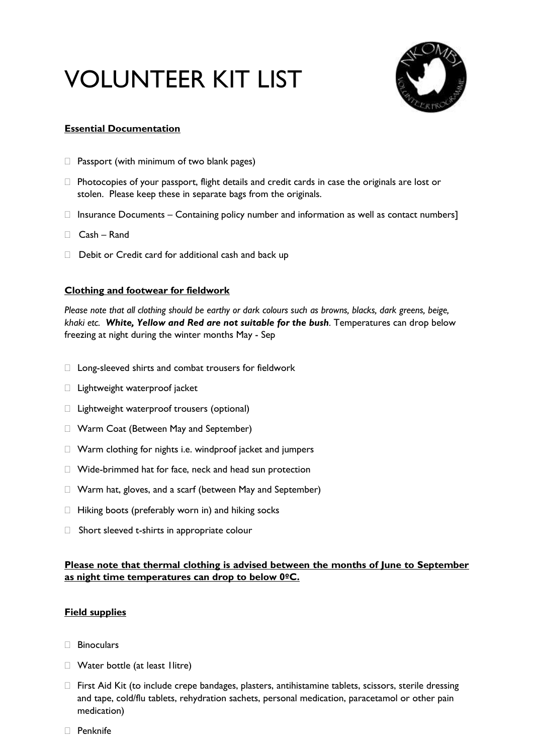# VOLUNTEER KIT LIST



## **Essential Documentation**

- $\Box$  Passport (with minimum of two blank pages)
- $\Box$  Photocopies of your passport, flight details and credit cards in case the originals are lost or stolen. Please keep these in separate bags from the originals.
- $\Box$  Insurance Documents Containing policy number and information as well as contact numbers]
- Cash Rand
- $\Box$  Debit or Credit card for additional cash and back up

## **Clothing and footwear for fieldwork**

*Please note that all clothing should be earthy or dark colours such as browns, blacks, dark greens, beige, khaki etc. White, Yellow and Red are not suitable for the bush.* Temperatures can drop below freezing at night during the winter months May - Sep

- □ Long-sleeved shirts and combat trousers for fieldwork
- $\Box$  Lightweight waterproof jacket
- $\Box$  Lightweight waterproof trousers (optional)
- □ Warm Coat (Between May and September)
- Warm clothing for nights i.e. windproof jacket and jumpers
- Wide-brimmed hat for face, neck and head sun protection
- Warm hat, gloves, and a scarf (between May and September)
- $\Box$  Hiking boots (preferably worn in) and hiking socks
- $\Box$  Short sleeved t-shirts in appropriate colour

# **Please note that thermal clothing is advised between the months of June to September as night time temperatures can drop to below 0ºC.**

## **Field supplies**

- □ Binoculars
- Water bottle (at least 1litre)
- $\Box$  First Aid Kit (to include crepe bandages, plasters, antihistamine tablets, scissors, sterile dressing and tape, cold/flu tablets, rehydration sachets, personal medication, paracetamol or other pain medication)
- Penknife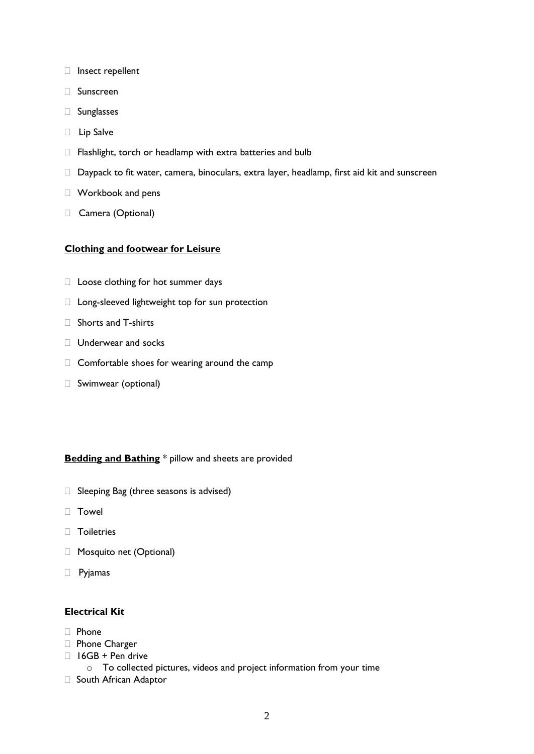- Insect repellent
- Sunscreen
- □ Sunglasses
- D Lip Salve
- $\Box$  Flashlight, torch or headlamp with extra batteries and bulb
- Daypack to fit water, camera, binoculars, extra layer, headlamp, first aid kit and sunscreen
- Workbook and pens
- Camera (Optional)

#### **Clothing and footwear for Leisure**

- $\Box$  Loose clothing for hot summer days
- □ Long-sleeved lightweight top for sun protection
- $\Box$  Shorts and T-shirts
- □ Underwear and socks
- $\Box$  Comfortable shoes for wearing around the camp
- Swimwear (optional)

#### **Bedding and Bathing** \* pillow and sheets are provided

- $\Box$  Sleeping Bag (three seasons is advised)
- Towel
- **Toiletries**
- Mosquito net (Optional)
- Pyjamas

#### **Electrical Kit**

- Phone
- Phone Charger
- $\Box$  16GB + Pen drive
	- o To collected pictures, videos and project information from your time
- □ South African Adaptor